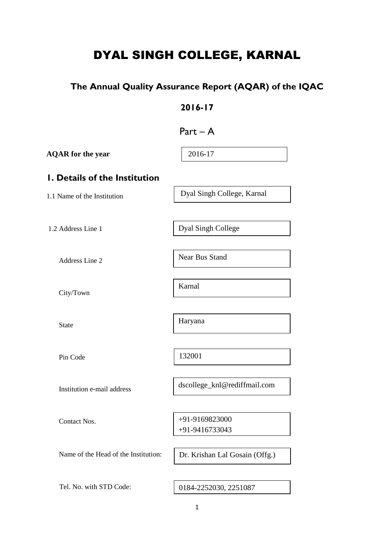# DYAL SINGH COLLEGE, KARNAL

# **The Annual Quality Assurance Report (AQAR) of the IQAC**

### **2016-17**

| Part |
|------|
|------|

| <b>AQAR</b> for the year             | 2016-17                          |
|--------------------------------------|----------------------------------|
| I. Details of the Institution        |                                  |
| 1.1 Name of the Institution          | Dyal Singh College, Karnal       |
|                                      |                                  |
| 1.2 Address Line 1                   | Dyal Singh College               |
| Address Line 2                       | Near Bus Stand                   |
| City/Town                            | Karnal                           |
|                                      |                                  |
| <b>State</b>                         | Haryana                          |
|                                      |                                  |
| Pin Code                             | 132001                           |
| Institution e-mail address           | dscollege_knl@rediffmail.com     |
|                                      |                                  |
| Contact Nos.                         | +91-9169823000<br>+91-9416733043 |
| Name of the Head of the Institution: | Dr. Krishan Lal Gosain (Offg.)   |
|                                      |                                  |
| Tel. No. with STD Code:              | 0184-2252030, 2251087            |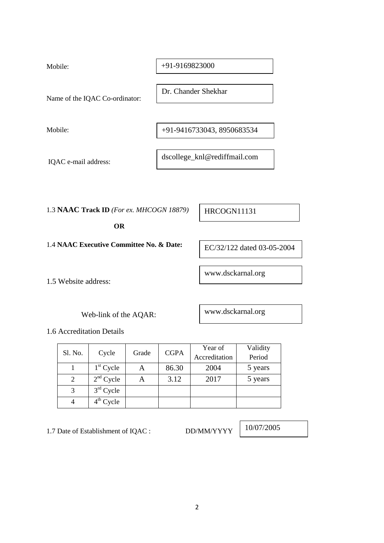| Mobile:                        | $+91-9169823000$             |
|--------------------------------|------------------------------|
| Name of the IQAC Co-ordinator: | Dr. Chander Shekhar          |
| Mobile:                        | +91-9416733043, 8950683534   |
| IQAC e-mail address:           | dscollege_knl@rediffmail.com |

1.3 **NAAC Track ID** *(For ex. MHCOGN 18879)*

 **OR** 

1.4 **NAAC Executive Committee No. & Date:** 

1.5 Website address:

Web-link of the AQAR:

1.6 Accreditation Details

|         |             |       |             |               | Year of | Validity |
|---------|-------------|-------|-------------|---------------|---------|----------|
| Sl. No. | Cycle       | Grade | <b>CGPA</b> | Accreditation | Period  |          |
|         | $1st$ Cycle |       | 86.30       | 2004          | 5 years |          |
| 2       | $2nd$ Cycle | А     | 3.12        | 2017          | 5 years |          |
|         | $3rd$ Cycle |       |             |               |         |          |
|         | $4th$ Cycle |       |             |               |         |          |

1.7 Date of Establishment of IQAC : DD/MM/YYYY

10/07/2005

HRCOGN11131

EC/32/122 dated 03-05-2004

www.dsckarnal.org

www.dsckarnal.org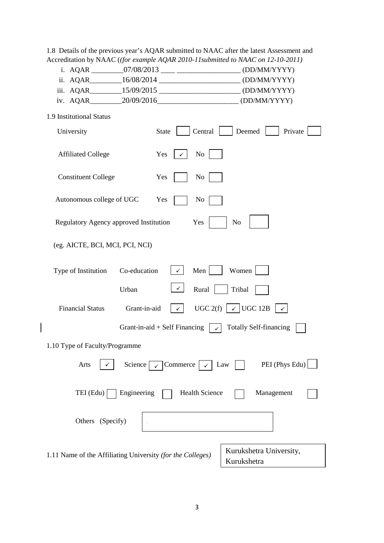1.8 Details of the previous year's AQAR submitted to NAAC after the latest Assessment and Accreditation by NAAC (*(for example AQAR 2010-11submitted to NAAC on 12-10-2011)*

|  |  | i. AQAR | 07/08/2013 | (DD/MM/YYYY) |  |
|--|--|---------|------------|--------------|--|
|--|--|---------|------------|--------------|--|

|  | ii. AQAR | 16/08/2014 | (DD/MM/YYYY) |
|--|----------|------------|--------------|
|--|----------|------------|--------------|

|  | iii. AQAR | 15/09/2015 |  | (DD/MM/YYYY) |
|--|-----------|------------|--|--------------|
|--|-----------|------------|--|--------------|

|  | iv. AQAR | 20/09/2016 | (DD/MM/YYYY) |
|--|----------|------------|--------------|
|--|----------|------------|--------------|

| 1.9 Institutional Status |  |
|--------------------------|--|
|--------------------------|--|

 $\begin{array}{c} \hline \end{array}$ 

| University                                                 | Central<br><b>State</b>                   | Deemed<br>Private                      |
|------------------------------------------------------------|-------------------------------------------|----------------------------------------|
| <b>Affiliated College</b>                                  | Yes<br>No<br>✓                            |                                        |
| <b>Constituent College</b>                                 | Yes<br>No                                 |                                        |
| Autonomous college of UGC                                  | Yes<br>No                                 |                                        |
| Regulatory Agency approved Institution                     | Yes                                       | N <sub>o</sub>                         |
| (eg. AICTE, BCI, MCI, PCI, NCI)                            |                                           |                                        |
| Co-education<br>Type of Institution                        | Men<br>$\checkmark$                       | Women                                  |
| Urban                                                      | ✓∣<br>Rural                               | Tribal                                 |
| <b>Financial Status</b><br>Grant-in-aid                    | UGC 2(f)<br>$\checkmark$                  | $\checkmark$ UGC 12B<br>$\checkmark$   |
|                                                            | Grant-in-aid $+$ Self Financing<br>$\sim$ | <b>Totally Self-financing</b>          |
| 1.10 Type of Faculty/Programme                             |                                           |                                        |
| Science  <br>Arts                                          | Commerce<br>$\checkmark$<br>$\checkmark$  | PEI (Phys Edu)<br>Law                  |
| Engineering<br>TEI (Edu)                                   | <b>Health Science</b>                     | Management                             |
| Others (Specify)                                           |                                           |                                        |
| 1.11 Name of the Affiliating University (for the Colleges) |                                           | Kurukshetra University,<br>Kurukshetra |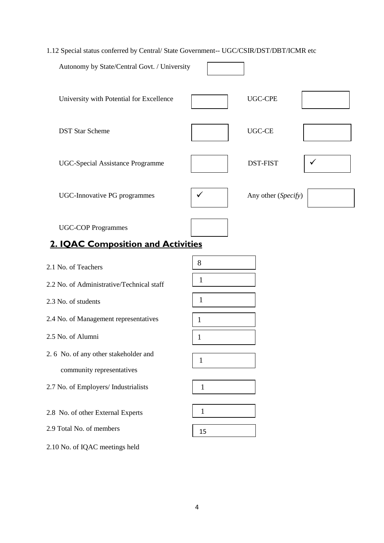### 1.12 Special status conferred by Central/ State Government-- UGC/CSIR/DST/DBT/ICMR etc

| Autonomy by State/Central Govt. / University                    |              |                     |              |
|-----------------------------------------------------------------|--------------|---------------------|--------------|
| University with Potential for Excellence                        |              | <b>UGC-CPE</b>      |              |
| <b>DST Star Scheme</b>                                          |              | <b>UGC-CE</b>       |              |
| <b>UGC-Special Assistance Programme</b>                         |              | <b>DST-FIST</b>     | $\checkmark$ |
| <b>UGC-Innovative PG programmes</b>                             | $\checkmark$ | Any other (Specify) |              |
| <b>UGC-COP Programmes</b><br>2. IQAC Composition and Activities |              |                     |              |
|                                                                 |              |                     |              |

| 2.1 No. of Teachers                       | 8            |
|-------------------------------------------|--------------|
| 2.2 No. of Administrative/Technical staff | $\mathbf{1}$ |
| 2.3 No. of students                       | $\mathbf{1}$ |
| 2.4 No. of Management representatives     | 1            |
| 2.5 No. of Alumni                         | $\mathbf{1}$ |
| 2.6 No. of any other stakeholder and      | 1            |
| community representatives                 |              |
| 2.7 No. of Employers/ Industrialists      | 1            |
| 2.8 No. of other External Experts         | 1            |
| 2.9 Total No. of members                  | 15           |
| 2.10 No. of IQAC meetings held            |              |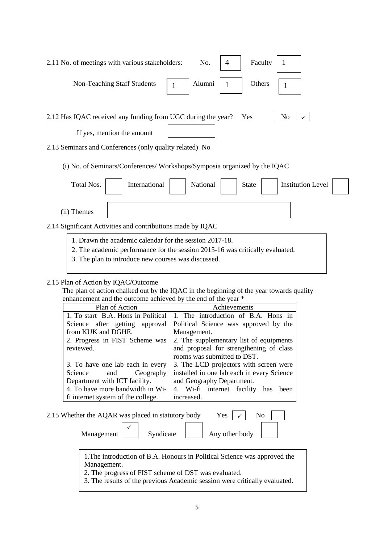| Faculty<br>2.11 No. of meetings with various stakeholders:<br>No.<br>4                                                                                                                              |
|-----------------------------------------------------------------------------------------------------------------------------------------------------------------------------------------------------|
| Alumni<br>Others<br>Non-Teaching Staff Students<br>1                                                                                                                                                |
| 2.12 Has IQAC received any funding from UGC during the year?<br>N <sub>0</sub><br>Yes<br>If yes, mention the amount                                                                                 |
| 2.13 Seminars and Conferences (only quality related) No                                                                                                                                             |
| (i) No. of Seminars/Conferences/Workshops/Symposia organized by the IQAC                                                                                                                            |
| Total Nos.<br>International<br>National<br><b>Institution Level</b><br><b>State</b>                                                                                                                 |
|                                                                                                                                                                                                     |
| (ii) Themes                                                                                                                                                                                         |
| 2.14 Significant Activities and contributions made by IQAC                                                                                                                                          |
| 1. Drawn the academic calendar for the session 2017-18.                                                                                                                                             |
| 2. The academic performance for the session 2015-16 was critically evaluated.<br>the second contract of the second contract of the second contract of the second contract of the second contract of |

3. The plan to introduce new courses was discussed.

### 2.15 Plan of Action by IQAC/Outcome

 The plan of action chalked out by the IQAC in the beginning of the year towards quality enhancement and the outcome achieved by the end of the year \*

| Plan of Action                     | Achievements                               |
|------------------------------------|--------------------------------------------|
| 1. To start B.A. Hons in Political | 1. The introduction of B.A. Hons in        |
| Science after getting approval     | Political Science was approved by the      |
| from KUK and DGHE.                 | Management.                                |
| 2. Progress in FIST Scheme was     | 2. The supplementary list of equipments    |
| reviewed.                          | and proposal for strengthening of class    |
|                                    | rooms was submitted to DST.                |
| 3. To have one lab each in every   | 3. The LCD projectors with screen were     |
| Science and Geography              | installed in one lab each in every Science |
| Department with ICT facility.      | and Geography Department.                  |
| 4. To have more bandwidth in Wi-   | 4. Wi-fi internet facility has<br>been     |
| fi internet system of the college. | increased.                                 |

| 2.15 Whether the AQAR was placed in statutory body | No<br>Yes $\vert \checkmark \vert$ |                |
|----------------------------------------------------|------------------------------------|----------------|
| Management                                         | Syndicate                          | Any other body |

1. The introduction of B.A. Honours in Political Science was approved the Management.

2. The progress of FIST scheme of DST was evaluated.

3. The results of the previous Academic session were critically evaluated.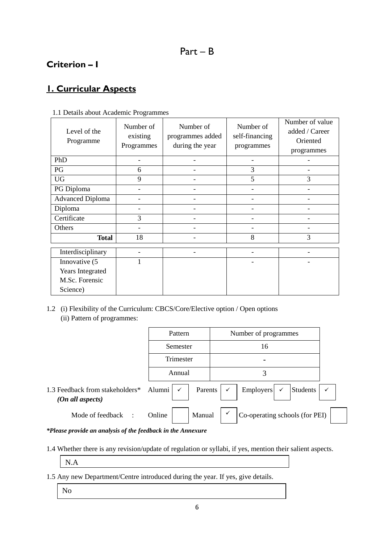## **Criterion – I**

# **1. Curricular Aspects**

| Level of the<br>Programme | Number of<br>existing<br>Programmes | Number of<br>programmes added<br>during the year | Number of<br>self-financing<br>programmes | Number of value<br>added / Career<br>Oriented<br>programmes |
|---------------------------|-------------------------------------|--------------------------------------------------|-------------------------------------------|-------------------------------------------------------------|
| PhD                       |                                     |                                                  |                                           |                                                             |
| PG                        | 6                                   |                                                  | 3                                         |                                                             |
| <b>UG</b>                 | 9                                   |                                                  | 5                                         | 3                                                           |
| PG Diploma                |                                     |                                                  |                                           |                                                             |
| <b>Advanced Diploma</b>   |                                     |                                                  |                                           |                                                             |
| Diploma                   |                                     |                                                  |                                           |                                                             |
| Certificate               | 3                                   |                                                  |                                           |                                                             |
| Others                    |                                     |                                                  |                                           |                                                             |
| <b>Total</b>              | 18                                  |                                                  | 8                                         | 3                                                           |
| Interdisciplinary         |                                     |                                                  |                                           |                                                             |
| Innovative (5             |                                     |                                                  |                                           |                                                             |
| Years Integrated          |                                     |                                                  |                                           |                                                             |
| M.Sc. Forensic            |                                     |                                                  |                                           |                                                             |
| Science)                  |                                     |                                                  |                                           |                                                             |

### 1.1 Details about Academic Programmes

1.2 (i) Flexibility of the Curriculum: CBCS/Core/Elective option / Open options (ii) Pattern of programmes:

|                                                     | Pattern                         | Number of programmes                                                                                    |
|-----------------------------------------------------|---------------------------------|---------------------------------------------------------------------------------------------------------|
|                                                     | Semester                        | 16                                                                                                      |
|                                                     | Trimester                       |                                                                                                         |
|                                                     | Annual                          | 3                                                                                                       |
| 1.3 Feedback from stakeholders*<br>(On all aspects) | Alumni $\vert \checkmark \vert$ | $\begin{array}{c c}\n\text{Emplovers} & \checkmark\n\end{array}$ Students<br>Parents $\vert \checkmark$ |
| Mode of feedback :                                  | Manual<br>Online                | Co-operating schools (for PEI)                                                                          |

### *\*Please provide an analysis of the feedback in the Annexure*

1.4 Whether there is any revision/update of regulation or syllabi, if yes, mention their salient aspects.

N.A

- 1.5 Any new Department/Centre introduced during the year. If yes, give details.
	- No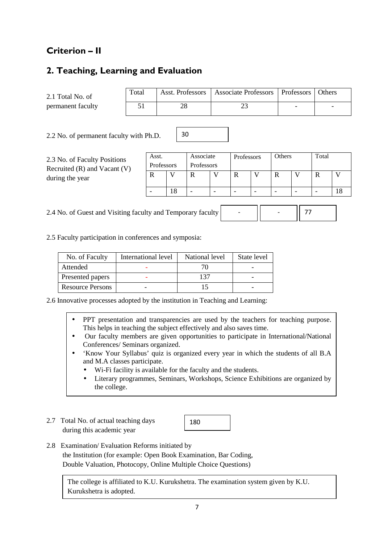# **Criterion – II**

### **2. Teaching, Learning and Evaluation**

2.1 Total No. of permanent faculty

| Total | Asst. Professors   Associate Professors   Professors   Others |  |
|-------|---------------------------------------------------------------|--|
|       |                                                               |  |

2.2 No. of permanent faculty with Ph.D.

2.3 No. of Faculty Positions Recruited (R) and Vacant (V) during the year

| Asst.      |  | Associate  | Professors | Others | Total |  |
|------------|--|------------|------------|--------|-------|--|
| Professors |  | Professors |            |        |       |  |
|            |  |            |            |        |       |  |
|            |  |            |            |        |       |  |
|            |  |            |            |        |       |  |

-

- 77

2.4 No. of Guest and Visiting faculty and Temporary faculty

2.5 Faculty participation in conferences and symposia:

| No. of Faculty          | International level | National level | State level |
|-------------------------|---------------------|----------------|-------------|
| Attended                |                     |                |             |
| Presented papers        |                     | -37            |             |
| <b>Resource Persons</b> |                     |                |             |

30

2.6 Innovative processes adopted by the institution in Teaching and Learning:

- PPT presentation and transparencies are used by the teachers for teaching purpose. This helps in teaching the subject effectively and also saves time.
- Our faculty members are given opportunities to participate in International/National Conferences/ Seminars organized.
- 'Know Your Syllabus' quiz is organized every year in which the students of all B.A and M.A classes participate.
	- Wi-Fi facility is available for the faculty and the students.
	- Literary programmes, Seminars, Workshops, Science Exhibitions are organized by the college.
- 2.7 Total No. of actual teaching days during this academic year

180

2.8 Examination/ Evaluation Reforms initiated by the Institution (for example: Open Book Examination, Bar Coding, Double Valuation, Photocopy, Online Multiple Choice Questions)

The college is affiliated to K.U. Kurukshetra. The examination system given by K.U. Kurukshetra is adopted.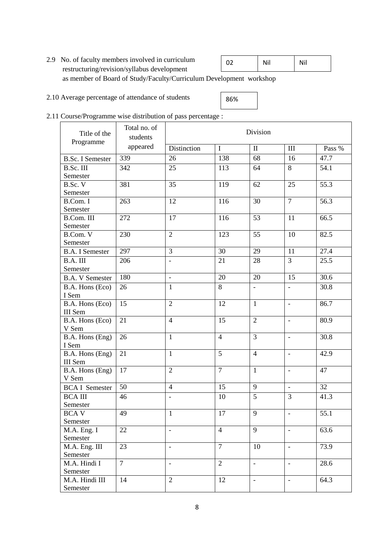- 2.9 No. of faculty members involved in curriculum restructuring/revision/syllabus development as member of Board of Study/Faculty/Curriculum Development workshop 02 Nil
- 2.10 Average percentage of attendance of students



Nil

### 2.11 Course/Programme wise distribution of pass percentage :

| Title of the<br>Programme           | Total no. of<br>students | Division                 |                 |                          |                          |                   |  |
|-------------------------------------|--------------------------|--------------------------|-----------------|--------------------------|--------------------------|-------------------|--|
|                                     | appeared                 | Distinction              | $\bf I$         | $\mathbf{I}$             | $\rm III$                | Pass %            |  |
| <b>B.Sc. I Semester</b>             | 339                      | 26                       | 138             | 68                       | 16                       | 47.7              |  |
| B.Sc. III                           | 342                      | 25                       | 113             | 64                       | 8                        | 54.1              |  |
| Semester                            |                          |                          |                 |                          |                          |                   |  |
| B.Sc. V                             | 381                      | 35                       | 119             | 62                       | 25                       | $\overline{55.3}$ |  |
| Semester                            |                          |                          |                 |                          |                          |                   |  |
| B.Com. I                            | 263                      | 12                       | 116             | 30                       | $\overline{7}$           | 56.3              |  |
| Semester                            |                          |                          |                 |                          |                          |                   |  |
| B.Com. III                          | 272                      | 17                       | 116             | 53                       | 11                       | 66.5              |  |
| Semester                            |                          |                          |                 |                          |                          |                   |  |
| B.Com. V                            | 230                      | $\overline{2}$           | 123             | 55                       | 10                       | 82.5              |  |
| Semester                            |                          |                          |                 |                          |                          |                   |  |
| <b>B.A. I Semester</b>              | 297                      | $\overline{3}$           | $\overline{30}$ | 29                       | 11                       | 27.4              |  |
| B.A. III                            | 206                      | $\overline{\phantom{a}}$ | 21              | 28                       | $\overline{3}$           | 25.5              |  |
| Semester                            |                          |                          |                 |                          |                          |                   |  |
| <b>B.A. V Semester</b>              | 180                      | $\frac{1}{2}$            | 20              | 20                       | $\overline{15}$          | $\overline{30.6}$ |  |
| B.A. Hons (Eco)                     | 26                       | $\mathbf{1}$             | 8               | $\overline{\phantom{a}}$ | $\overline{\phantom{a}}$ | 30.8              |  |
| I Sem                               |                          |                          |                 |                          |                          |                   |  |
| $\overline{\text{B.A.}}$ Hons (Eco) | 15                       | $\overline{2}$           | 12              | $\mathbf{1}$             | $\frac{1}{2}$            | 86.7              |  |
| III Sem                             |                          |                          |                 |                          |                          |                   |  |
| B.A. Hons (Eco)                     | 21                       | $\overline{4}$           | $\overline{15}$ | $\overline{2}$           | $\overline{\phantom{0}}$ | 80.9              |  |
| V Sem                               |                          |                          |                 |                          |                          |                   |  |
| B.A. Hons (Eng)                     | 26                       | $\mathbf{1}$             | $\overline{4}$  | $\overline{3}$           | $\overline{\phantom{a}}$ | 30.8              |  |
| I Sem                               |                          |                          |                 |                          |                          |                   |  |
| B.A. Hons (Eng)                     | 21                       | $\mathbf{1}$             | 5               | $\overline{4}$           | $\overline{\phantom{a}}$ | 42.9              |  |
| III Sem                             |                          |                          |                 |                          |                          |                   |  |
| B.A. Hons (Eng)<br>V Sem            | 17                       | $\overline{2}$           | $\overline{7}$  | $\mathbf{1}$             | $\overline{\phantom{a}}$ | 47                |  |
|                                     | 50                       | $\overline{4}$           | 15              | 9                        |                          | 32                |  |
| <b>BCA I Semester</b>               |                          |                          |                 |                          | $\overline{\phantom{a}}$ |                   |  |
| <b>BCA III</b>                      | 46                       | $\overline{\phantom{a}}$ | 10              | 5                        | 3                        | 41.3              |  |
| Semester                            | 49                       | $\overline{1}$           | $\overline{17}$ | 9                        |                          | $\overline{55.1}$ |  |
| <b>BCAV</b><br>Semester             |                          |                          |                 |                          | $\overline{\phantom{a}}$ |                   |  |
| M.A. Eng. I                         | 22                       | $\overline{\phantom{a}}$ | $\overline{4}$  | 9                        | $\Box$                   | 63.6              |  |
| Semester                            |                          |                          |                 |                          |                          |                   |  |
| M.A. Eng. III                       | 23                       | $\overline{\phantom{a}}$ | $\overline{7}$  | 10                       | $\equiv$                 | 73.9              |  |
| Semester                            |                          |                          |                 |                          |                          |                   |  |
| M.A. Hindi I                        | $\overline{7}$           | $\overline{\phantom{a}}$ | $\overline{2}$  | $\overline{\phantom{a}}$ | $\overline{\phantom{a}}$ | 28.6              |  |
| Semester                            |                          |                          |                 |                          |                          |                   |  |
| M.A. Hindi III                      | 14                       | $\overline{2}$           | 12              | $\overline{\phantom{a}}$ | $\overline{\phantom{a}}$ | 64.3              |  |
| Semester                            |                          |                          |                 |                          |                          |                   |  |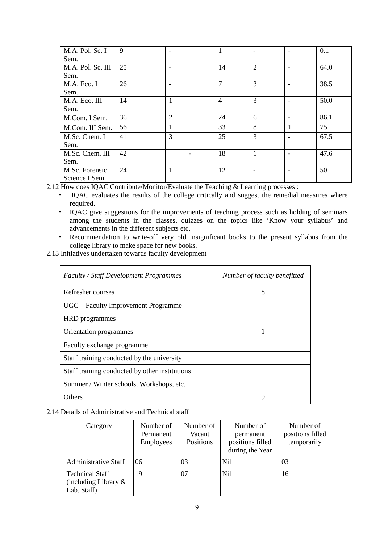| M.A. Pol. Sc. I   | 9  |                | 1              |                | 0.1  |
|-------------------|----|----------------|----------------|----------------|------|
| Sem.              |    |                |                |                |      |
| M.A. Pol. Sc. III | 25 |                | 14             | $\overline{2}$ | 64.0 |
| Sem.              |    |                |                |                |      |
| M.A. Eco. I       | 26 |                | $\mathcal{I}$  | 3              | 38.5 |
| Sem.              |    |                |                |                |      |
| M.A. Eco. III     | 14 |                | $\overline{4}$ | 3              | 50.0 |
| Sem.              |    |                |                |                |      |
| M.Com. I Sem.     | 36 | $\overline{2}$ | 24             | 6              | 86.1 |
| M.Com. III Sem.   | 56 | 1              | 33             | 8              | 75   |
| M.Sc. Chem. I     | 41 | 3              | 25             | $\overline{3}$ | 67.5 |
| Sem.              |    |                |                |                |      |
| M.Sc. Chem. III   | 42 |                | 18             | 1              | 47.6 |
| Sem.              |    |                |                |                |      |
| M.Sc. Forensic    | 24 |                | 12             |                | 50   |
| Science I Sem.    |    |                |                |                |      |

2.12 How does IQAC Contribute/Monitor/Evaluate the Teaching & Learning processes :

- IQAC evaluates the results of the college critically and suggest the remedial measures where required.
- IQAC give suggestions for the improvements of teaching process such as holding of seminars among the students in the classes, quizzes on the topics like 'Know your syllabus' and advancements in the different subjects etc.
- Recommendation to write-off very old insignificant books to the present syllabus from the college library to make space for new books.
- 2.13 Initiatives undertaken towards faculty development

| Faculty / Staff Development Programmes         | Number of faculty benefitted |
|------------------------------------------------|------------------------------|
| Refresher courses                              | 8                            |
| UGC – Faculty Improvement Programme            |                              |
| HRD programmes                                 |                              |
| Orientation programmes                         |                              |
| Faculty exchange programme                     |                              |
| Staff training conducted by the university     |                              |
| Staff training conducted by other institutions |                              |
| Summer / Winter schools, Workshops, etc.       |                              |
| Others                                         | 9                            |

### 2.14 Details of Administrative and Technical staff

| Category                                                         | Number of<br>Permanent<br><b>Employees</b> | Number of<br>Vacant<br>Positions | Number of<br>permanent<br>positions filled<br>during the Year | Number of<br>positions filled<br>temporarily |
|------------------------------------------------------------------|--------------------------------------------|----------------------------------|---------------------------------------------------------------|----------------------------------------------|
| <b>Administrative Staff</b>                                      | 06                                         | 03                               | N <sub>i</sub>                                                | 03                                           |
| <b>Technical Staff</b><br>(including Library $\&$<br>Lab. Staff) | 19                                         | 07                               | Nil                                                           | 16                                           |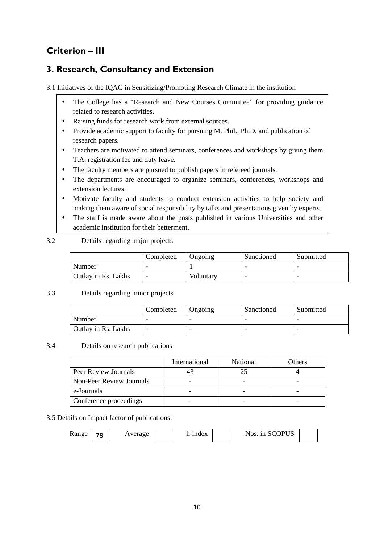# **Criterion – III**

### **3. Research, Consultancy and Extension**

3.1 Initiatives of the IQAC in Sensitizing/Promoting Research Climate in the institution

- The College has a "Research and New Courses Committee" for providing guidance related to research activities.
- Raising funds for research work from external sources.
- Provide academic support to faculty for pursuing M. Phil., Ph.D. and publication of research papers.
- Teachers are motivated to attend seminars, conferences and workshops by giving them T.A, registration fee and duty leave.
- The faculty members are pursued to publish papers in refereed journals.
- The departments are encouraged to organize seminars, conferences, workshops and extension lectures.
- Motivate faculty and students to conduct extension activities to help society and making them aware of social responsibility by talks and presentations given by experts.
- The staff is made aware about the posts published in various Universities and other academic institution for their betterment.

### 3.2 Details regarding major projects

|                     | Completed | Ongoing   | Sanctioned | Submitted |
|---------------------|-----------|-----------|------------|-----------|
| Number              |           |           | -          |           |
| Outlay in Rs. Lakhs |           | Voluntary | -          |           |

### 3.3 Details regarding minor projects

|                     | Completed | Ongoing | Sanctioned | Submitted |
|---------------------|-----------|---------|------------|-----------|
| Number              |           | -       | -          |           |
| Outlay in Rs. Lakhs |           |         |            |           |

### 3.4 Details on research publications

|                          | International | National | Others |
|--------------------------|---------------|----------|--------|
| Peer Review Journals     |               |          |        |
| Non-Peer Review Journals |               |          |        |
| e-Journals               |               |          |        |
| Conference proceedings   |               |          |        |

### 3.5 Details on Impact factor of publications:

Range  $\begin{array}{|c|c|c|c|c|c|} \hline \end{array}$  Average h-index  $\begin{array}{|c|c|c|c|c|c|c|} \hline \end{array}$  Nos. in SCOPUS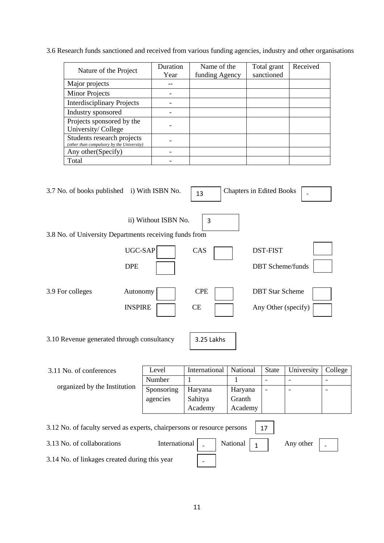3.6 Research funds sanctioned and received from various funding agencies, industry and other organisations

| Nature of the Project                                                   | Duration<br>Year | Name of the<br>funding Agency | Total grant<br>sanctioned | Received |
|-------------------------------------------------------------------------|------------------|-------------------------------|---------------------------|----------|
| Major projects                                                          |                  |                               |                           |          |
| <b>Minor Projects</b>                                                   |                  |                               |                           |          |
| <b>Interdisciplinary Projects</b>                                       |                  |                               |                           |          |
| Industry sponsored                                                      |                  |                               |                           |          |
| Projects sponsored by the<br>University/College                         |                  |                               |                           |          |
| Students research projects<br>(other than compulsory by the University) |                  |                               |                           |          |
| Any other (Specify)                                                     |                  |                               |                           |          |
| Total                                                                   |                  |                               |                           |          |

| 3.7 No. of books published i) With ISBN No.                             |                      | 13             | <b>Chapters in Edited Books</b> |                        |                          |                |
|-------------------------------------------------------------------------|----------------------|----------------|---------------------------------|------------------------|--------------------------|----------------|
|                                                                         | ii) Without ISBN No. | $\overline{3}$ |                                 |                        |                          |                |
| 3.8 No. of University Departments receiving funds from                  |                      |                |                                 |                        |                          |                |
|                                                                         | UGC-SAP              | CAS            |                                 | <b>DST-FIST</b>        |                          |                |
| <b>DPE</b>                                                              |                      |                |                                 |                        | <b>DBT</b> Scheme/funds  |                |
| 3.9 For colleges                                                        | Autonomy             | <b>CPE</b>     |                                 | <b>DBT</b> Star Scheme |                          |                |
|                                                                         | <b>INSPIRE</b>       | CE             |                                 |                        | Any Other (specify)      |                |
| 3.10 Revenue generated through consultancy                              |                      | 3.25 Lakhs     |                                 |                        |                          |                |
| 3.11 No. of conferences                                                 | Level                | International  | National                        | State                  | University               | College        |
|                                                                         | Number               | 1              | 1                               | $\blacksquare$         | $\overline{\phantom{a}}$ | $\overline{a}$ |
| organized by the Institution                                            | Sponsoring           | Haryana        | Haryana                         |                        |                          |                |
|                                                                         | agencies             | Sahitya        | Granth                          |                        |                          |                |
|                                                                         |                      | Academy        | Academy                         |                        |                          |                |
| 3.12 No. of faculty served as experts, chairpersons or resource persons |                      |                |                                 | 17                     |                          |                |
| 3.13 No. of collaborations                                              | International        |                | National<br>1                   |                        | Any other                |                |
| 3.14 No. of linkages created during this year                           |                      |                |                                 |                        |                          |                |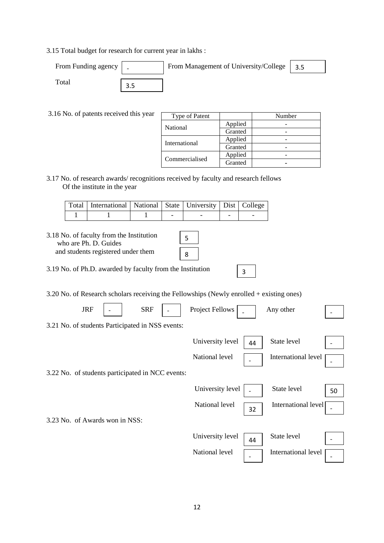3.15 Total budget for research for current year in lakhs :

| From Funding agency | From Management of University/College   3.5 |  |
|---------------------|---------------------------------------------|--|
| `otal               |                                             |  |

3.16 No. of patents received this year

| Type of Patent  |         | Number |  |  |
|-----------------|---------|--------|--|--|
| <b>National</b> | Applied |        |  |  |
|                 | Granted |        |  |  |
| International   | Applied |        |  |  |
|                 | Granted |        |  |  |
|                 | Applied |        |  |  |
| Commercialised  | Granted |        |  |  |

3.17 No. of research awards/ recognitions received by faculty and research fellows Of the institute in the year

| Total   International   National   State   University   Dist   College |  |  |  |
|------------------------------------------------------------------------|--|--|--|
|                                                                        |  |  |  |

| 3.18 No. of faculty from the Institution<br>who are Ph. D. Guides<br>and students registered under them | 5<br>8 |
|---------------------------------------------------------------------------------------------------------|--------|
| 3.19 No. of Ph.D. awarded by faculty from the Institution                                               | 3      |
| $3.20$ No. of Research scholars receiving the Fellowships (Newly enrolled $+$ existing ones)            |        |

|                                | <b>JRF</b> | <b>SRF</b>                                       | <b>Project Fellows</b> |    | Any other           |    |
|--------------------------------|------------|--------------------------------------------------|------------------------|----|---------------------|----|
|                                |            | 3.21 No. of students Participated in NSS events: |                        |    |                     |    |
|                                |            |                                                  | University level       | 44 | State level         |    |
|                                |            |                                                  | National level         |    | International level |    |
|                                |            | 3.22 No. of students participated in NCC events: |                        |    |                     |    |
|                                |            |                                                  | University level       |    | State level         | 50 |
|                                |            |                                                  | National level         | 32 | International level |    |
| 3.23 No. of Awards won in NSS: |            |                                                  |                        |    |                     |    |
|                                |            |                                                  | University level       | 44 | State level         |    |

National level Theorem International level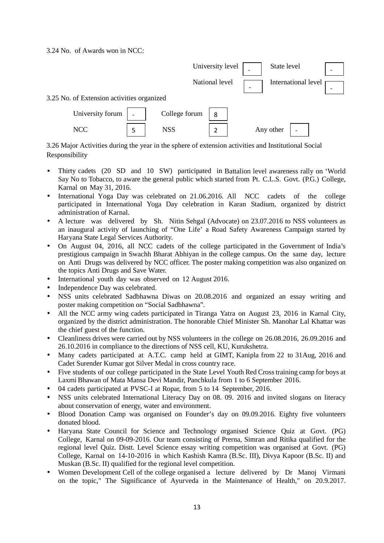3.24 No. of Awards won in NCC:



3.26 Major Activities during the year in the sphere of extension activities and Institutional Social Responsibility

- Thirty cadets (20 SD and 10 SW) participated in Battalion level awareness rally on 'World Say No to Tobacco, to aware the general public which started from Pt. C.L.S. Govt. (P.G.) College, Karnal on May 31, 2016.
- International Yoga Day was celebrated on 21.06.2016. All NCC cadets of the college participated in International Yoga Day celebration in Karan Stadium, organized by district administration of Karnal.
- A lecture was delivered by Sh. Nitin Sehgal (Advocate) on 23.07.2016 to NSS volunteers as an inaugural activity of launching of "One Life' a Road Safety Awareness Campaign started by Haryana State Legal Services Authority.
- On August 04, 2016, all NCC cadets of the college participated in the Government of India's prestigious campaign in Swachh Bharat Abhiyan in the college campus. On the same day, lecture on Anti Drugs was delivered by NCC officer. The poster making competition was also organized on the topics Anti Drugs and Save Water.
- International youth day was observed on 12 August 2016.
- Independence Day was celebrated.
- NSS units celebrated Sadbhawna Diwas on 20.08.2016 and organized an essay writing and poster making competition on "Social Sadbhawna".
- All the NCC army wing cadets participated in Tiranga Yatra on August 23, 2016 in Karnal City, organized by the district administration. The honorable Chief Minister Sh. Manohar Lal Khattar was the chief guest of the function.
- Cleanliness drives were carried out by NSS volunteers in the college on 26.08.2016, 26.09.2016 and 26.10.2016 in compliance to the directions of NSS cell, KU, Kurukshetra.
- Many cadets participated at A.T.C. camp held at GIMT, Kanipla from 22 to 31Aug, 2016 and Cadet Surender Kumar got Silver Medal in cross country race.
- Five students of our college participated in the State Level Youth Red Cross training camp for boys at Laxmi Bhawan of Mata Mansa Devi Mandir, Panchkula from 1 to 6 September 2016.
- 04 cadets participated at PVSC-I at Ropar, from 5 to 14 September, 2016.
- NSS units celebrated International Literacy Day on 08. 09. 2016 and invited slogans on literacy about conservation of energy, water and environment.
- Blood Donation Camp was organised on Founder's day on 09.09.2016. Eighty five volunteers donated blood.
- Haryana State Council for Science and Technology organised Science Quiz at Govt. (PG) College, Karnal on 09-09-2016. Our team consisting of Prerna, Simran and Ritika qualified for the regional level Quiz. Distt. Level Science essay writing competition was organised at Govt. (PG) College, Karnal on 14-10-2016 in which Kashish Kamra (B.Sc. III), Divya Kapoor (B.Sc. II) and Muskan (B.Sc. II) qualified for the regional level competition.
- Women Development Cell of the college organised a lecture delivered by Dr Manoj Virmani on the topic," The Significance of Ayurveda in the Maintenance of Health," on 20.9.2017.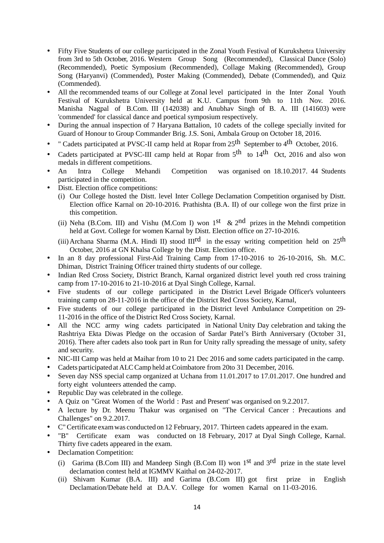- Fifty Five Students of our college participated in the Zonal Youth Festival of Kurukshetra University from 3rd to 5th October, 2016. Western Group Song (Recommended), Classical Dance (Solo) (Recommended), Poetic Symposium (Recommended), Collage Making (Recommended), Group Song (Haryanvi) (Commended), Poster Making (Commended), Debate (Commended), and Quiz (Commended).
- All the recommended teams of our College at Zonal level participated in the Inter Zonal Youth Festival of Kurukshetra University held at K.U. Campus from 9th to 11th Nov. 2016. Manisha Nagpal of B.Com. III (142038) and Anubhav Singh of B. A. III (141603) were 'commended' for classical dance and poetical symposium respectively.
- During the annual inspection of 7 Haryana Battalion, 10 cadets of the college specially invited for Guard of Honour to Group Commander Brig. J.S. Soni, Ambala Group on October 18, 2016.
- " Cadets participated at PVSC-II camp held at Ropar from 25th September to 4th October, 2016.
- Cadets participated at PVSC-III camp held at Ropar from  $5<sup>th</sup>$  to  $14<sup>th</sup>$  Oct, 2016 and also won medals in different competitions.
- An Intra College Mehandi Competition was organised on 18.10.2017. 44 Students participated in the competition.
- Distt. Election office competitions:
	- (i) Our College hosted the Distt. level Inter College Declamation Competition organised by Distt. Election office Karnal on 20-10-2016. Prathishta (B.A. II) of our college won the first prize in this competition.
	- (ii) Neha (B.Com. III) and Vishu (M.Com I) won  $1<sup>st</sup>$  &  $2<sup>nd</sup>$  prizes in the Mehndi competition held at Govt. College for women Karnal by Distt. Election office on 27-10-2016.
	- (iii) Archana Sharma (M.A. Hindi II) stood  $III^{rd}$  in the essay writing competition held on 25<sup>th</sup> October, 2016 at GN Khalsa College by the Distt. Election office.
- In an 8 day professional First-Aid Training Camp from 17-10-2016 to 26-10-2016, Sh. M.C. Dhiman, District Training Officer trained thirty students of our college.
- Indian Red Cross Society, District Branch, Karnal organized district level youth red cross training camp from 17-10-2016 to 21-10-2016 at Dyal Singh College, Karnal.
- Five students of our college participated in the District Level Brigade Officer's volunteers training camp on 28-11-2016 in the office of the District Red Cross Society, Karnal,
- Five students of our college participated in the District level Ambulance Competition on 29- 11-2016 in the office of the District Red Cross Society, Karnal.
- All the NCC army wing cadets participated in National Unity Day celebration and taking the Rashtriya Ekta Diwas Pledge on the occasion of Sardar Patel's Birth Anniversary (October 31, 2016). There after cadets also took part in Run for Unity rally spreading the message of unity, safety and security.
- NIC-III Camp was held at Maihar from 10 to 21 Dec 2016 and some cadets participated in the camp.
- Cadets participated at ALC Camp held at Coimbatore from 20to 31 December, 2016.
- Seven day NSS special camp organized at Uchana from 11.01.2017 to 17.01.2017. One hundred and forty eight volunteers attended the camp.
- Republic Day was celebrated in the college.
- A Quiz on "Great Women of the World : Past and Present' was organised on 9.2.2017.
- A lecture by Dr. Meenu Thakur was organised on "The Cervical Cancer : Precautions and Challenges" on 9.2.2017.
- C" Certificate exam was conducted on 12 February, 2017. Thirteen cadets appeared in the exam.
- "B" Certificate exam was conducted on 18 February, 2017 at Dyal Singh College, Karnal. Thirty five cadets appeared in the exam.
- Declamation Competition:
	- (i) Garima (B.Com III) and Mandeep Singh (B.Com II) won  $1<sup>st</sup>$  and  $3<sup>rd</sup>$  prize in the state level declamation contest held at IGMMV Kaithal on 24-02-2017.
	- (ii) Shivam Kumar (B.A. III) and Garima (B.Com III) got first prize in English Declamation/Debate held at D.A.V. College for women Karnal on 11-03-2016.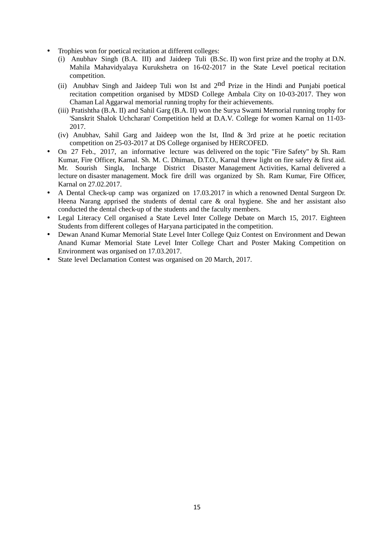- Trophies won for poetical recitation at different colleges:
	- (i) Anubhav Singh (B.A. III) and Jaideep Tuli (B.Sc. II) won first prize and the trophy at D.N. Mahila Mahavidyalaya Kurukshetra on 16-02-2017 in the State Level poetical recitation competition.
	- (ii) Anubhav Singh and Jaideep Tuli won Ist and  $2<sup>nd</sup>$  Prize in the Hindi and Punjabi poetical recitation competition organised by MDSD College Ambala City on 10-03-2017. They won Chaman Lal Aggarwal memorial running trophy for their achievements.
	- (iii) Pratishtha (B.A. II) and Sahil Garg (B.A. II) won the Surya Swami Memorial running trophy for 'Sanskrit Shalok Uchcharan' Competition held at D.A.V. College for women Karnal on 11-03- 2017.
	- (iv) Anubhav, Sahil Garg and Jaideep won the Ist, IInd & 3rd prize at he poetic recitation competition on 25-03-2017 at DS College organised by HERCOFED.
- On 27 Feb., 2017, an informative lecture was delivered on the topic "Fire Safety" by Sh. Ram Kumar, Fire Officer, Karnal. Sh. M. C. Dhiman, D.T.O., Karnal threw light on fire safety & first aid. Mr. Sourish Singla, Incharge District Disaster Management Activities, Karnal delivered a lecture on disaster management. Mock fire drill was organized by Sh. Ram Kumar, Fire Officer, Karnal on 27.02.2017.
- A Dental Check-up camp was organized on 17.03.2017 in which a renowned Dental Surgeon Dr. Heena Narang apprised the students of dental care & oral hygiene. She and her assistant also conducted the dental check-up of the students and the faculty members.
- Legal Literacy Cell organised a State Level Inter College Debate on March 15, 2017. Eighteen Students from different colleges of Haryana participated in the competition.
- Dewan Anand Kumar Memorial State Level Inter College Quiz Contest on Environment and Dewan Anand Kumar Memorial State Level Inter College Chart and Poster Making Competition on Environment was organised on 17.03.2017.
- State level Declamation Contest was organised on 20 March, 2017.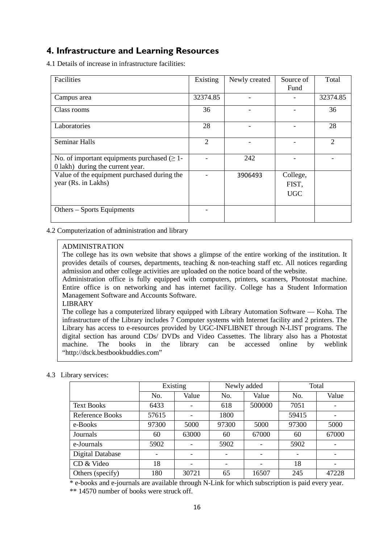### **4. Infrastructure and Learning Resources**

4.1 Details of increase in infrastructure facilities:

| Facilities                                                                            | Existing       | Newly created | Source of                       | Total          |
|---------------------------------------------------------------------------------------|----------------|---------------|---------------------------------|----------------|
|                                                                                       |                |               | Fund                            |                |
| Campus area                                                                           | 32374.85       |               |                                 | 32374.85       |
| Class rooms                                                                           | 36             |               |                                 | 36             |
| Laboratories                                                                          | 28             |               |                                 | 28             |
| <b>Seminar Halls</b>                                                                  | $\overline{2}$ |               |                                 | $\overline{2}$ |
| No. of important equipments purchased $(\geq 1$ -<br>0 lakh) during the current year. |                | 242           |                                 |                |
| Value of the equipment purchased during the<br>year (Rs. in Lakhs)                    |                | 3906493       | College,<br>FIST,<br><b>UGC</b> |                |
| Others – Sports Equipments                                                            |                |               |                                 |                |

4.2 Computerization of administration and library

### ADMINISTRATION

The college has its own website that shows a glimpse of the entire working of the institution. It provides details of courses, departments, teaching  $\&$  non-teaching staff etc. All notices regarding admission and other college activities are uploaded on the notice board of the website.

Administration office is fully equipped with computers, printers, scanners, Photostat machine. Entire office is on networking and has internet facility. College has a Student Information Management Software and Accounts Software.

LIBRARY

The college has a computerized library equipped with Library Automation Software — Koha. The infrastructure of the Library includes 7 Computer systems with Internet facility and 2 printers. The Library has access to e-resources provided by UGC-INFLIBNET through N-LIST programs. The digital section has around CDs/ DVDs and Video Cassettes. The library also has a Photostat machine. The books in the library can be accessed online by weblink The books in the library can be accessed online by weblink "http://dsck.bestbookbuddies.com"

### 4.3 Library services:

|                         | Existing |       | Newly added |        | Total |       |
|-------------------------|----------|-------|-------------|--------|-------|-------|
|                         | No.      | Value | No.         | Value  | No.   | Value |
| <b>Text Books</b>       | 6433     |       | 618         | 500000 | 7051  |       |
| Reference Books         | 57615    |       | 1800        |        | 59415 |       |
| e-Books                 | 97300    | 5000  | 97300       | 5000   | 97300 | 5000  |
| Journals                | 60       | 63000 | 60          | 67000  | 60    | 67000 |
| e-Journals              | 5902     |       | 5902        |        | 5902  |       |
| <b>Digital Database</b> |          |       |             |        |       |       |
| CD & Video              | 18       |       |             |        | 18    |       |
| Others (specify)        | 180      | 30721 | 65          | 16507  | 245   | 47228 |

 \* e-books and e-journals are available through N-Link for which subscription is paid every year. \*\* 14570 number of books were struck off.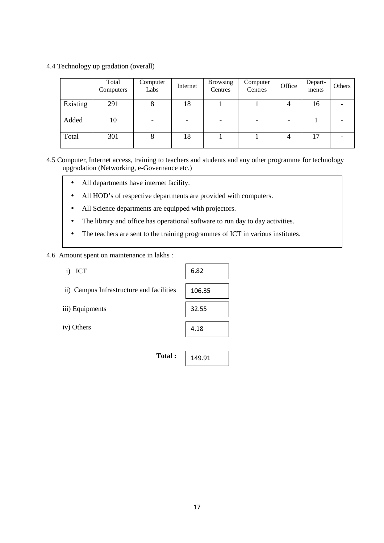4.4 Technology up gradation (overall)

|          | Total<br>Computers | Computer<br>Labs | Internet | <b>Browsing</b><br>Centres | Computer<br>Centres | Office | Depart-<br>ments | Others |
|----------|--------------------|------------------|----------|----------------------------|---------------------|--------|------------------|--------|
| Existing | 291                | Õ                | 18       |                            |                     | 4      | 16               |        |
| Added    | 10                 | -                |          |                            |                     |        |                  |        |
| Total    | 301                | 8                | 18       |                            |                     |        | 17               |        |

- 4.5 Computer, Internet access, training to teachers and students and any other programme for technology upgradation (Networking, e-Governance etc.)
	- All departments have internet facility.
	- All HOD's of respective departments are provided with computers.
	- All Science departments are equipped with projectors.
	- The library and office has operational software to run day to day activities.
	- The teachers are sent to the training programmes of ICT in various institutes.

Ē

4.6 Amount spent on maintenance in lakhs :

| ICT<br>$\mathbf{i}$                      | 6.82   |
|------------------------------------------|--------|
| ii) Campus Infrastructure and facilities | 106.35 |
| iii) Equipments                          | 32.55  |
| iv) Others                               | 4.18   |
|                                          |        |
| Total:                                   | 149.91 |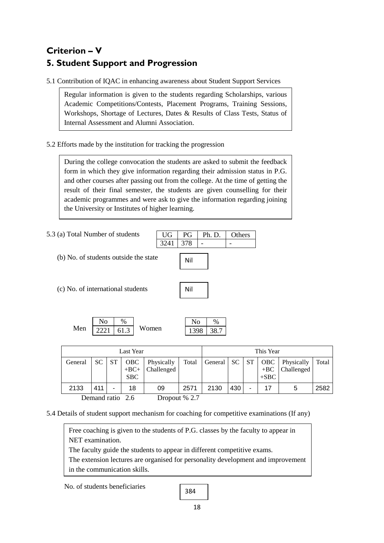# **Criterion – V 5. Student Support and Progression**

5.1 Contribution of IQAC in enhancing awareness about Student Support Services

Regular information is given to the students regarding Scholarships, various Academic Competitions/Contests, Placement Programs, Training Sessions, Workshops, Shortage of Lectures, Dates & Results of Class Tests, Status of Internal Assessment and Alumni Association.

5.2 Efforts made by the institution for tracking the progression

During the college convocation the students are asked to submit the feedback form in which they give information regarding their admission status in P.G. and other courses after passing out from the college. At the time of getting the result of their final semester, the students are given counselling for their academic programmes and were ask to give the information regarding joining the University or Institutes of higher learning.

|                                                                          | 5.3 (a) Total Number of students |    |           |                      |                          | UG   | PG    | Ph. D.  | Others    |           |              |  |
|--------------------------------------------------------------------------|----------------------------------|----|-----------|----------------------|--------------------------|------|-------|---------|-----------|-----------|--------------|--|
|                                                                          |                                  |    |           |                      |                          | 3241 | 378   | ۰       |           |           |              |  |
| (b) No. of students outside the state                                    |                                  |    |           |                      | Nil                      |      |       |         |           |           |              |  |
| (c) No. of international students                                        |                                  |    |           | Nil                  |                          |      |       |         |           |           |              |  |
| No<br>$\%$<br>No<br>$\%$<br>Men<br>Women<br>61.3<br>2221<br>38.7<br>1398 |                                  |    |           |                      |                          |      |       |         |           |           |              |  |
|                                                                          |                                  |    |           | <b>Last Year</b>     |                          |      |       |         |           |           | This Year    |  |
|                                                                          | General                          | SC | <b>ST</b> | <b>OBC</b><br>$+BC+$ | Physically<br>Challenged |      | Total | General | <b>SC</b> | <b>ST</b> | OBC<br>$+BC$ |  |

Demand ratio 2.6 Dropout % 2.7

**SBC** 

5.4 Details of student support mechanism for coaching for competitive examinations (If any)

Free coaching is given to the students of P.G. classes by the faculty to appear in NET examination.

The faculty guide the students to appear in different competitive exams.

The extension lectures are organised for personality development and improvement in the communication skills.

No. of students beneficiaries

$$
384\,
$$

2133 411 - 18 09 2571 2130 430 - 17 5 2582

+SBC

Physically Challenged Total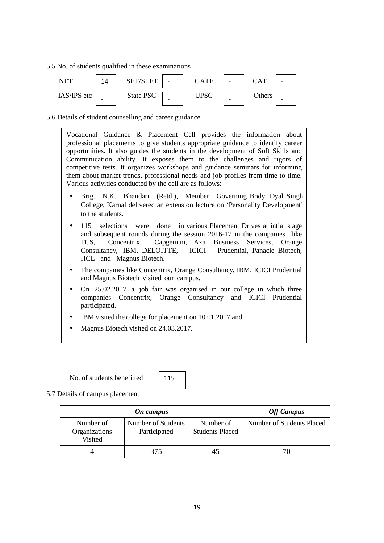5.5 No. of students qualified in these examinations



5.6 Details of student counselling and career guidance

Vocational Guidance & Placement Cell provides the information about professional placements to give students appropriate guidance to identify career opportunities. It also guides the students in the development of Soft Skills and Communication ability. It exposes them to the challenges and rigors of competitive tests. It organizes workshops and guidance seminars for informing them about market trends, professional needs and job profiles from time to time. Various activities conducted by the cell are as follows:

- Brig. N.K. Bhandari (Retd.), Member Governing Body, Dyal Singh College, Karnal delivered an extension lecture on 'Personality Development' to the students.
- 115 selections were done in various Placement Drives at intial stage and subsequent rounds during the session 2016-17 in the companies like TCS, Concentrix, Capgemini, Axa Business Services, Orange Consultancy, IBM, DELOITTE, ICICI HCL and Magnus Biotech.
- The companies like Concentrix, Orange Consultancy, IBM, ICICI Prudential and Magnus Biotech visited our campus.
- On 25,02,2017 a job fair was organised in our college in which three companies Concentrix, Orange Consultancy and ICICI Prudential participated.
- IBM visited the college for placement on 10.01.2017 and
- Magnus Biotech visited on 24.03.2017.

No. of students benefitted

115

5.7 Details of campus placement

|                                       | <b>Off Campus</b>                  |                                     |                           |
|---------------------------------------|------------------------------------|-------------------------------------|---------------------------|
| Number of<br>Organizations<br>Visited | Number of Students<br>Participated | Number of<br><b>Students Placed</b> | Number of Students Placed |
|                                       | 375                                |                                     | 70                        |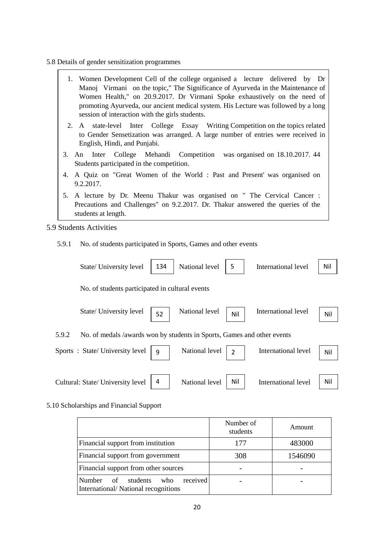- 5.8 Details of gender sensitization programmes
	- 1. Women Development Cell of the college organised a lecture delivered by Dr Manoj Virmani on the topic," The Significance of Ayurveda in the Maintenance of Women Health," on 20.9.2017. Dr Virmani Spoke exhaustively on the need of promoting Ayurveda, our ancient medical system. His Lecture was followed by a long session of interaction with the girls students.
	- 2. A state-level Inter College Essay Writing Competition on the topics related to Gender Sensetization was arranged. A large number of entries were received in English, Hindi, and Punjabi.
	- 3. An Inter College Mehandi Competition was organised on 18.10.2017. 44 Students participated in the competition.
	- 4. A Quiz on "Great Women of the World : Past and Present' was organised on 9.2.2017.
	- 5. A lecture by Dr. Meenu Thakur was organised on " The Cervical Cancer : Precautions and Challenges" on 9.2.2017. Dr. Thakur answered the queries of the students at length.
- 5.9 Students Activities
	- 5.9.1 No. of students participated in Sports, Games and other events

| State/ University level           | 134                                                                     | National level | 5              | International level        | Nil |
|-----------------------------------|-------------------------------------------------------------------------|----------------|----------------|----------------------------|-----|
|                                   | No. of students participated in cultural events                         |                |                |                            |     |
| State/ University level           | 52                                                                      | National level | Nil            | International level        | Nil |
| 5.9.2                             | No. of medals /awards won by students in Sports, Games and other events |                |                |                            |     |
| Sports: State/University level    | 9                                                                       | National level | $\overline{2}$ | International level        | Nil |
| Cultural: State/ University level | 4                                                                       | National level | Nil            | <b>International level</b> | Nil |

#### 5.10 Scholarships and Financial Support

|                                                                                                   | Number of<br>students | Amount  |
|---------------------------------------------------------------------------------------------------|-----------------------|---------|
| Financial support from institution                                                                | 177                   | 483000  |
| Financial support from government                                                                 | 308                   | 1546090 |
| Financial support from other sources                                                              |                       |         |
| received<br><b>Number</b><br>students<br>$\circ$ of<br>who<br>International/National recognitions |                       |         |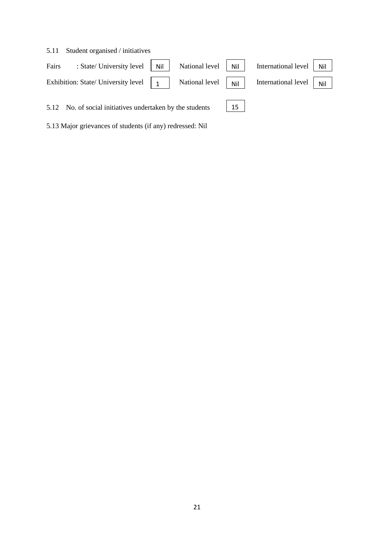| 5.11  | Student organised / initiatives                                                                                                  |                |     |                     |     |
|-------|----------------------------------------------------------------------------------------------------------------------------------|----------------|-----|---------------------|-----|
| Fairs | : State/ University level   Nil                                                                                                  | National level | Nil | International level | Nil |
|       | Exhibition: State/ University level $\begin{vmatrix} 1 \\ 1 \end{vmatrix}$ National level $\begin{vmatrix} 1 \\ 1 \end{vmatrix}$ |                |     | International level | Nil |
|       | 5.12 No. of social initiatives undertaken by the students                                                                        |                | 15  |                     |     |

5.13 Major grievances of students (if any) redressed: Nil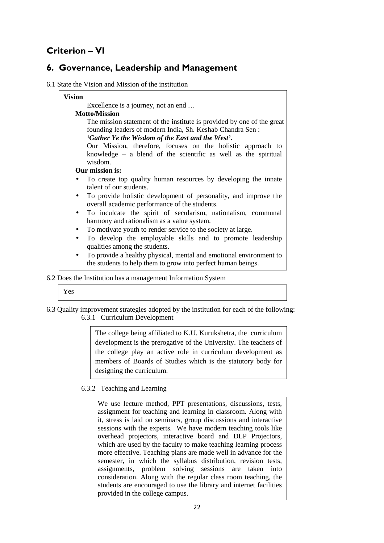## **Criterion – VI**

### **6. Governance, Leadership and Management**

### 6.1 State the Vision and Mission of the institution

| <b>Vision</b> |                                                                        |
|---------------|------------------------------------------------------------------------|
|               | Excellence is a journey, not an end                                    |
|               | <b>Motto/Mission</b>                                                   |
|               | The mission statement of the institute is provided by one of the great |
|               | founding leaders of modern India, Sh. Keshab Chandra Sen:              |
|               | 'Gather Ye the Wisdom of the East and the West'.                       |
|               | Our Mission, therefore, focuses on the holistic approach to            |
|               | knowledge $-$ a blend of the scientific as well as the spiritual       |
|               | wisdom.                                                                |
|               | Our mission is:                                                        |
|               | To create top quality human resources by developing the innate         |
|               | talent of our students.                                                |
| $\bullet$     | To provide holistic development of personality, and improve the        |
|               | overall academic performance of the students.                          |
| $\bullet$     | To inculcate the spirit of secularism, nationalism, communal           |
|               | harmony and rationalism as a value system.                             |
| $\bullet$     | To motivate youth to render service to the society at large.           |
| $\bullet$     | To develop the employable skills and to promote leadership             |
|               | qualities among the students.                                          |
| $\bullet$     | To provide a healthy physical, mental and emotional environment to     |
|               | the students to help them to grow into perfect human beings.           |

### 6.2 Does the Institution has a management Information System

| ۰.<br>۰.<br>.,<br>v |
|---------------------|
|---------------------|

6.3 Quality improvement strategies adopted by the institution for each of the following: 6.3.1 Curriculum Development

> The college being affiliated to K.U. Kurukshetra, the curriculum development is the prerogative of the University. The teachers of the college play an active role in curriculum development as members of Boards of Studies which is the statutory body for designing the curriculum.

### 6.3.2 Teaching and Learning

We use lecture method, PPT presentations, discussions, tests, assignment for teaching and learning in classroom. Along with it, stress is laid on seminars, group discussions and interactive sessions with the experts. We have modern teaching tools like overhead projectors, interactive board and DLP Projectors, which are used by the faculty to make teaching learning process more effective. Teaching plans are made well in advance for the semester, in which the syllabus distribution, revision tests, assignments, problem solving sessions are taken into consideration. Along with the regular class room teaching, the students are encouraged to use the library and internet facilities provided in the college campus.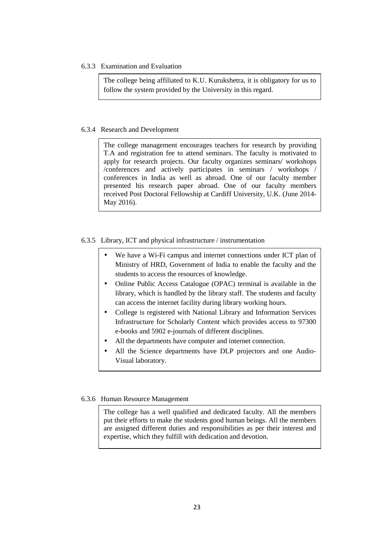6.3.3 Examination and Evaluation

The college being affiliated to K.U. Kurukshetra, it is obligatory for us to follow the system provided by the University in this regard.

#### 6.3.4 Research and Development

The college management encourages teachers for research by providing T.A and registration fee to attend seminars. The faculty is motivated to apply for research projects. Our faculty organizes seminars/ workshops /conferences and actively participates in seminars / workshops / conferences in India as well as abroad. One of our faculty member presented his research paper abroad. One of our faculty members received Post Doctoral Fellowship at Cardiff University, U.K. (June 2014- May 2016).

#### 6.3.5 Library, ICT and physical infrastructure / instrumentation

- We have a Wi-Fi campus and internet connections under ICT plan of Ministry of HRD, Government of India to enable the faculty and the students to access the resources of knowledge.
- Online Public Access Catalogue (OPAC) terminal is available in the library, which is handled by the library staff. The students and faculty can access the internet facility during library working hours.
- College is registered with National Library and Information Services Infrastructure for Scholarly Content which provides access to 97300 e-books and 5902 e-journals of different disciplines.
- All the departments have computer and internet connection.
- All the Science departments have DLP projectors and one Audio-Visual laboratory.

### 6.3.6 Human Resource Management

The college has a well qualified and dedicated faculty. All the members put their efforts to make the students good human beings. All the members are assigned different duties and responsibilities as per their interest and expertise, which they fulfill with dedication and devotion.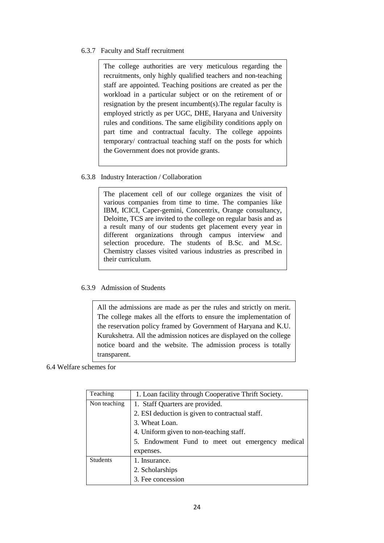### 6.3.7 Faculty and Staff recruitment

The college authorities are very meticulous regarding the recruitments, only highly qualified teachers and non-teaching staff are appointed. Teaching positions are created as per the workload in a particular subject or on the retirement of or resignation by the present incumbent(s).The regular faculty is employed strictly as per UGC, DHE, Haryana and University rules and conditions. The same eligibility conditions apply on part time and contractual faculty. The college appoints temporary/ contractual teaching staff on the posts for which the Government does not provide grants.

### 6.3.8 Industry Interaction / Collaboration

The placement cell of our college organizes the visit of various companies from time to time. The companies like IBM, ICICI, Caper-gemini, Concentrix, Orange consultancy, Deloitte, TCS are invited to the college on regular basis and as a result many of our students get placement every year in different organizations through campus interview and selection procedure. The students of B.Sc. and M.Sc. Chemistry classes visited various industries as prescribed in their curriculum.

### 6.3.9 Admission of Students

All the admissions are made as per the rules and strictly on merit. The college makes all the efforts to ensure the implementation of the reservation policy framed by Government of Haryana and K.U. Kurukshetra. All the admission notices are displayed on the college notice board and the website. The admission process is totally transparent.

### 6.4 Welfare schemes for

| Teaching        | 1. Loan facility through Cooperative Thrift Society. |  |  |  |  |  |
|-----------------|------------------------------------------------------|--|--|--|--|--|
| Non teaching    | 1. Staff Quarters are provided.                      |  |  |  |  |  |
|                 | 2. ESI deduction is given to contractual staff.      |  |  |  |  |  |
|                 | 3. Wheat Loan.                                       |  |  |  |  |  |
|                 | 4. Uniform given to non-teaching staff.              |  |  |  |  |  |
|                 | 5. Endowment Fund to meet out emergency<br>medical   |  |  |  |  |  |
|                 | expenses.                                            |  |  |  |  |  |
| <b>Students</b> | 1. Insurance.                                        |  |  |  |  |  |
|                 | 2. Scholarships                                      |  |  |  |  |  |
|                 | 3. Fee concession                                    |  |  |  |  |  |
|                 |                                                      |  |  |  |  |  |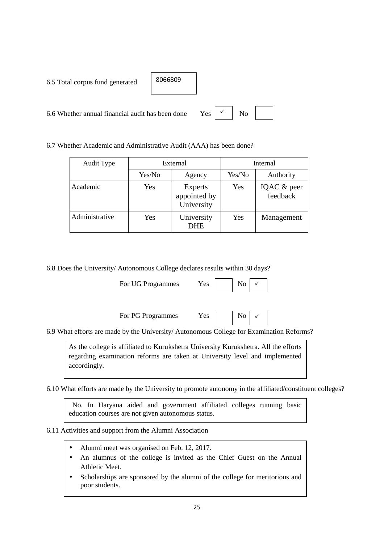| 6.5 Total corpus fund generated                  | 8066809 |                       |    |  |
|--------------------------------------------------|---------|-----------------------|----|--|
| 6.6 Whether annual financial audit has been done |         | $Yes \mid \checkmark$ | No |  |

6.7 Whether Academic and Administrative Audit (AAA) has been done?

| Audit Type     |        | External                              | Internal |                         |  |
|----------------|--------|---------------------------------------|----------|-------------------------|--|
|                | Yes/No | Agency                                | Yes/No   | Authority               |  |
| Academic       | Yes    | Experts<br>appointed by<br>University | Yes      | IQAC & peer<br>feedback |  |
| Administrative | Yes    | University<br><b>DHE</b>              | Yes      | Management              |  |

6.8 Does the University/ Autonomous College declares results within 30 days?

For UG Programmes Yes

| No |  |
|----|--|
|    |  |

 $\checkmark$ 

 $\checkmark$ 

For PG Programmes Yes No



6.9 What efforts are made by the University/ Autonomous College for Examination Reforms?

As the college is affiliated to Kurukshetra University Kurukshetra. All the efforts regarding examination reforms are taken at University level and implemented accordingly.

6.10 What efforts are made by the University to promote autonomy in the affiliated/constituent colleges?

 No. In Haryana aided and government affiliated colleges running basic education courses are not given autonomous status.

6.11 Activities and support from the Alumni Association

- Alumni meet was organised on Feb. 12, 2017.
- An alumnus of the college is invited as the Chief Guest on the Annual Athletic Meet.
- Scholarships are sponsored by the alumni of the college for meritorious and poor students.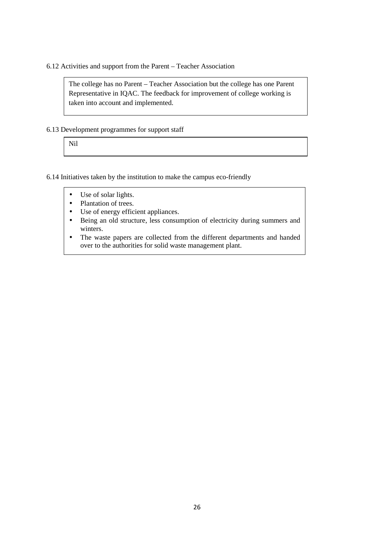### 6.12 Activities and support from the Parent – Teacher Association

The college has no Parent – Teacher Association but the college has one Parent Representative in IQAC. The feedback for improvement of college working is taken into account and implemented.

### 6.13 Development programmes for support staff

Nil

### 6.14 Initiatives taken by the institution to make the campus eco-friendly

- Use of solar lights.
- Plantation of trees.
- Use of energy efficient appliances.
- Being an old structure, less consumption of electricity during summers and winters.
- The waste papers are collected from the different departments and handed over to the authorities for solid waste management plant.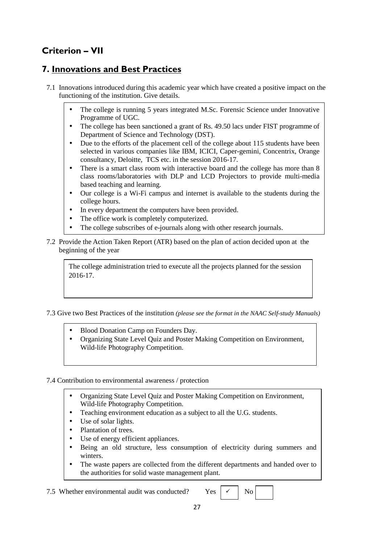# **Criterion – VII**

### **7. Innovations and Best Practices**

- 7.1 Innovations introduced during this academic year which have created a positive impact on the functioning of the institution. Give details.
	- The college is running 5 years integrated M.Sc. Forensic Science under Innovative Programme of UGC.
	- The college has been sanctioned a grant of Rs. 49.50 lacs under FIST programme of Department of Science and Technology (DST).
	- Due to the efforts of the placement cell of the college about 115 students have been selected in various companies like IBM, ICICI, Caper-gemini, Concentrix, Orange consultancy, Deloitte, TCS etc. in the session 2016-17.
	- There is a smart class room with interactive board and the college has more than 8 class rooms/laboratories with DLP and LCD Projectors to provide multi-media based teaching and learning.
	- Our college is a Wi-Fi campus and internet is available to the students during the college hours.
	- In every department the computers have been provided.
	- The office work is completely computerized.
	- The college subscribes of e-journals along with other research journals.
- 7.2 Provide the Action Taken Report (ATR) based on the plan of action decided upon at the beginning of the year

The college administration tried to execute all the projects planned for the session 2016-17.

7.3 Give two Best Practices of the institution *(please see the format in the NAAC Self-study Manuals)*

- Blood Donation Camp on Founders Day.
- Organizing State Level Quiz and Poster Making Competition on Environment, Wild-life Photography Competition.

### 7.4 Contribution to environmental awareness / protection

- Organizing State Level Quiz and Poster Making Competition on Environment, Wild-life Photography Competition.
- Teaching environment education as a subject to all the U.G. students.
- Use of solar lights.
- Plantation of trees.
- Use of energy efficient appliances.
- Being an old structure, less consumption of electricity during summers and winters.
- The waste papers are collected from the different departments and handed over to the authorities for solid waste management plant.

7.5 Whether environmental audit was conducted? Yes  $\vert \times \vert$  No

 $\checkmark$